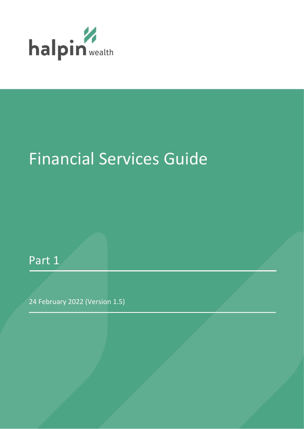

# Financial Services Guide

Part 1

24 February 2022 (Version 1.5)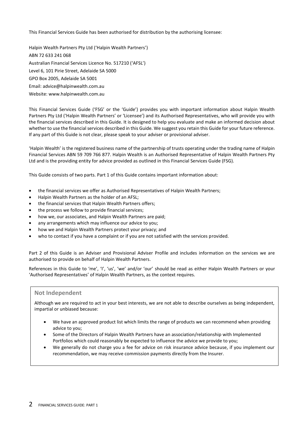This Financial Services Guide has been authorised for distribution by the authorising licensee:

Halpin Wealth Partners Pty Ltd ('Halpin Wealth Partners') ABN 72 633 241 068 Australian Financial Services Licence No. 517210 ('AFSL') Level 6, 101 Pirie Street, Adelaide SA 5000 GPO Box 2005, Adelaide SA 5001 Email: advice@halpinwealth.com.au Website: www.halpinwealth.com.au

This Financial Services Guide ('FSG' or the 'Guide') provides you with important information about Halpin Wealth Partners Pty Ltd ('Halpin Wealth Partners' or 'Licensee') and its Authorised Representatives, who will provide you with the financial services described in this Guide. It is designed to help you evaluate and make an informed decision about whether to use the financial services described in this Guide. We suggest you retain this Guide for your future reference. If any part of this Guide is not clear, please speak to your adviser or provisional adviser.

'Halpin Wealth' is the registered business name of the partnership of trusts operating under the trading name of Halpin Financial Services ABN 59 709 766 877. Halpin Wealth is an Authorised Representative of Halpin Wealth Partners Pty Ltd and is the providing entity for advice provided as outlined in this Financial Services Guide (FSG).

This Guide consists of two parts. Part 1 of this Guide contains important information about:

- the financial services we offer as Authorised Representatives of Halpin Wealth Partners;
- Halpin Wealth Partners as the holder of an AFSL;
- the financial services that Halpin Wealth Partners offers;
- the process we follow to provide financial services;
- how we, our associates, and Halpin Wealth Partners are paid;
- any arrangements which may influence our advice to you:
- how we and Halpin Wealth Partners protect your privacy; and
- who to contact if you have a complaint or if you are not satisfied with the services provided.

Part 2 of this Guide is an Adviser and Provisional Adviser Profile and includes information on the services we are authorised to provide on behalf of Halpin Wealth Partners.

References in this Guide to 'me', 'I', 'us', 'we' and/or 'our' should be read as either Halpin Wealth Partners or your 'Authorised Representatives' of Halpin Wealth Partners, as the context requires.

### **Not Independent**

Although we are required to act in your best interests, we are not able to describe ourselves as being independent, impartial or unbiased because:

- We have an approved product list which limits the range of products we can recommend when providing advice to you;
- Some of the Directors of Halpin Wealth Partners have an association/relationship with Implemented Portfolios which could reasonably be expected to influence the advice we provide to you;
- We generally do not charge you a fee for advice on risk insurance advice because, if you implement our recommendation, we may receive commission payments directly from the Insurer.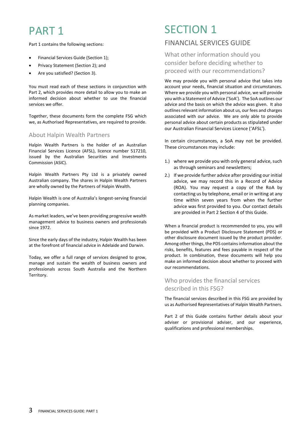# PART 1

Part 1 contains the following sections:

- Financial Services Guide (Section 1);
- Privacy Statement (Section 2); and
- Are you satisfied? (Section 3).

You must read each of these sections in conjunction with Part 2, which provides more detail to allow you to make an informed decision about whether to use the financial services we offer.

Together, these documents form the complete FSG which we, as Authorised Representatives, are required to provide.

### About Halpin Wealth Partners

Halpin Wealth Partners is the holder of an Australian Financial Services Licence (AFSL), licence number 517210, issued by the Australian Securities and Investments Commission (ASIC).

Halpin Wealth Partners Pty Ltd is a privately owned Australian company. The shares in Halpin Wealth Partners are wholly owned by the Partners of Halpin Wealth.

Halpin Wealth is one of Australia's longest-serving financial planning companies.

As market leaders, we've been providing progressive wealth management advice to business owners and professionals since 1972.

Since the early days of the industry, Halpin Wealth has been at the forefront of financial advice in Adelaide and Darwin.

Today, we offer a full range of services designed to grow, manage and sustain the wealth of business owners and professionals across South Australia and the Northern Territory.

# SECTION 1

# FINANCIAL SERVICES GUIDE

What other information should you consider before deciding whether to proceed with our recommendations?

We may provide you with personal advice that takes into account your needs, financial situation and circumstances. Where we provide you with personal advice, we will provide you with a Statement of Advice ('SoA'). The SoA outlines our advice and the basis on which the advice was given. It also outlines relevant information about us, our fees and charges associated with our advice. We are only able to provide personal advice about certain products as stipulated under our Australian Financial Services Licence ('AFSL').

In certain circumstances, a SoA may not be provided. These circumstances may include:

- 1.) where we provide you with only general advice, such as through seminars and newsletters;
- 2.) If we provide further advice after providing our initial advice, we may record this in a Record of Advice (ROA). You may request a copy of the RoA by contacting us by telephone, email or in writing at any time within seven years from when the further advice was first provided to you. Our contact details are provided in Part 2 Section 4 of this Guide.

When a financial product is recommended to you, you will be provided with a Product Disclosure Statement (PDS) or other disclosure document issued by the product provider. Among other things, the PDS contains information about the risks, benefits, features and fees payable in respect of the product. In combination, these documents will help you make an informed decision about whether to proceed with our recommendations.

# Who provides the financial services described in this FSG?

The financial services described in this FSG are provided by us as Authorised Representatives of Halpin Wealth Partners.

Part 2 of this Guide contains further details about your adviser or provisional adviser, and our experience, qualifications and professional memberships.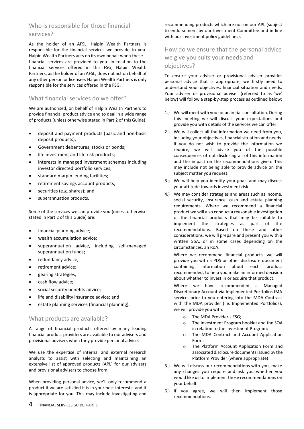# Who is responsible for those financial services?

As the holder of an AFSL, Halpin Wealth Partners is responsible for the financial services we provide to you. Halpin Wealth Partners acts on its own behalf when these financial services are provided to you. In relation to the financial services offered in this FSG, Halpin Wealth Partners, as the holder of an AFSL, does not act on behalf of any other person or licensee. Halpin Wealth Partners is only responsible for the services offered in the FSG.

# What financial services do we offer?

We are authorised, on behalf of Halpin Wealth Partners to provide financial product advice and to deal in a wide range of products (unless otherwise stated in Part 2 of this Guide):

- deposit and payment products (basic and non-basic deposit products);
- Government debentures, stocks or bonds;
- life investment and life risk products:
- interests in managed investment schemes including investor directed portfolio services;
- standard margin lending facilities;
- retirement savings account products;
- securities (e.g. shares); and
- superannuation products.

Some of the services we can provide you (unless otherwise stated in Part 2 of this Guide) are:

- financial planning advice;
- wealth accumulation advice;
- superannuation advice, including self-managed superannuation funds;
- redundancy advice;
- retirement advice;
- gearing strategies;
- cash flow advice;
- social security benefits advice;
- life and disability insurance advice; and
- estate planning services (financial planning).

### What products are available?

A range of financial products offered by many leading financial product providers are available to our advisers and provisional advisers when they provide personal advice.

We use the expertise of internal and external research analysts to assist with selecting and maintaining an extensive list of approved products (APL) for our advisers and provisional advisers to choose from.

When providing personal advice, we'll only recommend a product if we are satisfied it is in your best interests, and it is appropriate for you. This may include investigating and

recommending products which are not on our APL (subject to endorsement by our Investment Committee and in line with our investment policy guidelines).

# How do we ensure that the personal advice we give you suits your needs and objectives?

To ensure your adviser or provisional adviser provides personal advice that is appropriate, we firstly need to understand your objectives, financial situation and needs. Your adviser or provisional adviser (referred to as 'we' below) will follow a step-by-step process as outlined below:

- 1.) We will meet with you for an initial consultation. During this meeting we will discuss your expectations and provide you with details of the services we can offer.
- 2.) We will collect all the information we need from you, including your objectives, financial situation and needs. If you do not wish to provide the information we require, we will advise you of the possible consequences of not disclosing all of this information and the impact on the recommendations given. This may include not being able to provide advice on the subject matter you request.
- 3.) We will help you identify your goals and may discuss your attitude towards investment risk.
- 4.) We may consider strategies and areas such as income, social security, insurance, cash and estate planning requirements. Where we recommend a financial product we will also conduct a reasonable investigation of the financial products that may be suitable to implement the strategies as part of the recommendations. Based on these and other considerations, we will prepare and present you with a written SoA, or in some cases depending on the circumstances, an RoA.

Where we recommend financial products, we will provide you with a PDS or other disclosure document containing information about each product recommended, to help you make an informed decision about whether to invest in or acquire that product.

Where we have recommended a Managed Discretionary Account via Implemented Portfolios IMA service, prior to you entering into the MDA Contract with the MDA provider (i.e. Implemented Portfolios), we will provide you with:

- o The MDA Provider's FSG;
- o The Investment Program booklet and the SOA in relation to the Investment Program;
- o The MDA Contract and Account Application Form;
- o The Platform Account Application Form and associated disclosure documents issued by the Platform Provider (where appropriate)
- 5.) We will discuss our recommendations with you, make any changes you require and ask you whether you would like us to implement those recommendations on your behalf.
- 6.) If you agree, we will then implement those recommendations.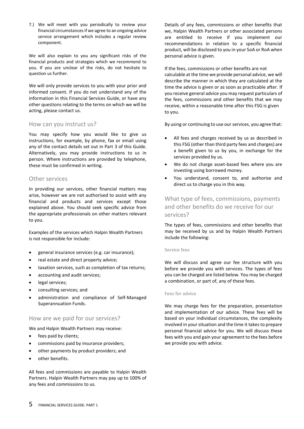7.) We will meet with you periodically to review your financial circumstances if we agree to an ongoing advice service arrangement which includes a regular review component.

We will also explain to you any significant risks of the financial products and strategies which we recommend to you. If you are unclear of the risks, do not hesitate to question us further.

We will only provide services to you with your prior and informed consent. If you do not understand any of the information in this Financial Services Guide, or have any other questions relating to the terms on which we will be acting, please contact us.

### How can you instruct us?

You may specify how you would like to give us instructions, for example, by phone, fax or email using any of the contact details set out in Part 3 of this Guide. Alternatively, you may provide instructions to us in person. Where instructions are provided by telephone, these must be confirmed in writing.

### Other services

In providing our services, other financial matters may arise, however we are not authorised to assist with any financial and products and services except those explained above. You should seek specific advice from the appropriate professionals on other matters relevant to you.

Examples of the services which Halpin Wealth Partners is not responsible for include:

- general insurance services (e.g. car insurance);
- real estate and direct property advice;
- taxation services, such as completion of tax returns;
- accounting and audit services;
- legal services;
- consulting services; and
- administration and compliance of Self-Managed Superannuation Funds.

### How are we paid for our services?

We and Halpin Wealth Partners may receive:

- fees paid by clients;
- commissions paid by insurance providers;
- other payments by product providers; and
- other benefits.

All fees and commissions are payable to Halpin Wealth Partners. Halpin Wealth Partners may pay up to 100% of any fees and commissions to us.

Details of any fees, commissions or other benefits that we, Halpin Wealth Partners or other associated persons are entitled to receive if you implement our recommendations in relation to a specific financial product, will be disclosed to you in your SoA or RoA when personal advice is given.

If the fees, commissions or other benefits are not calculable at the time we provide personal advice, we will describe the manner in which they are calculated at the time the advice is given or as soon as practicable after. If you receive general advice you may request particulars of the fees, commissions and other benefits that we may receive, within a reasonable time after this FSG is given to you.

By using or continuing to use our services, you agree that:

- All fees and charges received by us as described in this FSG (other than third party fees and charges) are a benefit given to us by you, in exchange for the services provided by us.
- We do not charge asset-based fees where you are investing using borrowed money.
- You understand, consent to, and authorise and direct us to charge you in this way.

What type of fees, commissions, payments and other benefits do we receive for our services?

The types of fees, commissions and other benefits that may be received by us and by Halpin Wealth Partners include the following:

### **Service fees**

We will discuss and agree our fee structure with you before we provide you with services. The types of fees you can be charged are listed below. You may be charged a combination, or part of, any of these fees.

### **Fees for advice**

We may charge fees for the preparation, presentation and implementation of our advice. These fees will be based on your individual circumstances, the complexity involved in your situation and the time it takes to prepare personal financial advice for you. We will discuss these fees with you and gain your agreement to the fees before we provide you with advice.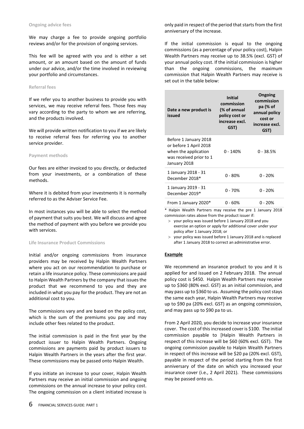We may charge a fee to provide ongoing portfolio reviews and/or for the provision of ongoing services.

This fee will be agreed with you and is either a set amount, or an amount based on the amount of funds under our advice, and/or the time involved in reviewing your portfolio and circumstances.

#### **Referral fees**

If we refer you to another business to provide you with services, we may receive referral fees. Those fees may vary according to the party to whom we are referring, and the products involved.

We will provide written notification to you if we are likely to receive referral fees for referring you to another service provider.

#### **Payment methods**

Our fees are either invoiced to you directly, or deducted from your investments, or a combination of these methods.

Where it is debited from your investments it is normally referred to as the Adviser Service Fee.

In most instances you will be able to select the method of payment that suits you best. We will discuss and agree the method of payment with you before we provide you with services.

#### **Life Insurance Product Commissions**

Initial and/or ongoing commissions from insurance providers may be received by Halpin Wealth Partners where you act on our recommendation to purchase or retain a life insurance policy. These commissions are paid to Halpin Wealth Partners by the company that issues the product that we recommend to you and they are included in what you pay for the product. They are not an additional cost to you.

The commissions vary and are based on the policy cost, which is the sum of the premiums you pay and may include other fees related to the product.

The initial commission is paid in the first year by the product issuer to Halpin Wealth Partners. Ongoing commissions are payments paid by product issuers to Halpin Wealth Partners in the years after the first year. These commissions may be passed onto Halpin Wealth.

If you initiate an increase to your cover, Halpin Wealth Partners may receive an initial commission and ongoing commissions on the annual increase to your policy cost. The ongoing commission on a client initiated increase is

only paid in respect of the period that starts from the first anniversary of the increase.

If the initial commission is equal to the ongoing commissions (as a percentage of your policy cost), Halpin Wealth Partners may receive up to 38.5% (excl. GST) of your annual policy cost. If the initial commission is higher than the ongoing commissions, the maximum commission that Halpin Wealth Partners may receive is set out in the table below:

| Date a new product is<br>issued                                                                                    | <b>Initial</b><br>commission<br>(% of annual<br>policy cost or<br>increase excl.<br>GST) | Ongoing<br>commission<br>pa (% of<br>annual policy<br>cost or<br>increase excl.<br>GST) |
|--------------------------------------------------------------------------------------------------------------------|------------------------------------------------------------------------------------------|-----------------------------------------------------------------------------------------|
| Before 1 January 2018<br>or before 1 April 2018<br>when the application<br>was received prior to 1<br>January 2018 | $0 - 140%$                                                                               | $0 - 38.5%$                                                                             |
| 1 January 2018 - 31<br>December 2018*                                                                              | $0 - 80%$                                                                                | $0 - 20%$                                                                               |
| 1 January 2019 - 31<br>December 2019*                                                                              | $0 - 70%$                                                                                | $0 - 20%$                                                                               |
| From 1 January 2020*                                                                                               | 0 - 60%                                                                                  | $0 - 20%$                                                                               |

\* Halpin Wealth Partners may receive the pre 1 January 2018 commission rates above from the product issuer if:

- your policy was issued before 1 January 2018 and you exercise an option or apply for additional cover under your policy after 1 January 2018; or
- your policy was issued before 1 January 2018 and is replaced after 1 January 2018 to correct an administrative error.

#### **Example**

We recommend an insurance product to you and it is applied for and issued on 2 February 2018. The annual policy cost is \$450. Halpin Wealth Partners may receive up to \$360 (80% excl. GST) as an initial commission, and may pass up to \$360 to us. Assuming the policy cost stays the same each year, Halpin Wealth Partners may receive up to \$90 pa (20% excl. GST) as an ongoing commission, and may pass up to \$90 pa to us.

From 2 April 2020, you decide to increase your insurance cover. The cost of this increased cover is \$100. The initial commission payable to [Halpin Wealth Partners in respect of this increase will be \$60 (60% excl. GST). The ongoing commission payable to Halpin Wealth Partners in respect of this increase will be \$20 pa (20% excl. GST), payable in respect of the period starting from the first anniversary of the date on which you increased your insurance cover (i.e., 2 April 2021). These commissions may be passed onto us.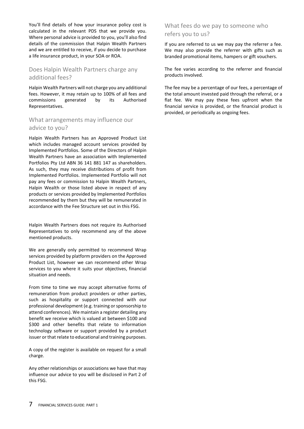You'll find details of how your insurance policy cost is calculated in the relevant PDS that we provide you. Where personal advice is provided to you, you'll also find details of the commission that Halpin Wealth Partners and we are entitled to receive, if you decide to purchase a life insurance product, in your SOA or ROA.

### Does Halpin Wealth Partners charge any additional fees?

Halpin Wealth Partners will not charge you any additional fees. However, it may retain up to 100% of all fees and commissions generated by its Authorised Representatives.

### What arrangements may influence our advice to you?

Halpin Wealth Partners has an Approved Product List which includes managed account services provided by Implemented Portfolios. Some of the Directors of Halpin Wealth Partners have an association with Implemented Portfolios Pty Ltd ABN 36 141 881 147 as shareholders. As such, they may receive distributions of profit from Implemented Portfolios. Implemented Portfolio will not pay any fees or commission to Halpin Wealth Partners, Halpin Wealth or those listed above in respect of any products or services provided by Implemented Portfolios recommended by them but they will be remunerated in accordance with the Fee Structure set out in this FSG.

Halpin Wealth Partners does not require its Authorised Representatives to only recommend any of the above mentioned products.

We are generally only permitted to recommend Wrap services provided by platform providers on the Approved Product List, however we can recommend other Wrap services to you where it suits your objectives, financial situation and needs.

From time to time we may accept alternative forms of remuneration from product providers or other parties, such as hospitality or support connected with our professional development (e.g. training or sponsorship to attend conferences). We maintain a register detailing any benefit we receive which is valued at between \$100 and \$300 and other benefits that relate to information technology software or support provided by a product issuer or that relate to educational and training purposes.

A copy of the register is available on request for a small charge.

Any other relationships or associations we have that may influence our advice to you will be disclosed in Part 2 of this FSG.

### What fees do we pay to someone who refers you to us?

If you are referred to us we may pay the referrer a fee. We may also provide the referrer with gifts such as branded promotional items, hampers or gift vouchers.

The fee varies according to the referrer and financial products involved.

The fee may be a percentage of our fees, a percentage of the total amount invested paid through the referral, or a flat fee. We may pay these fees upfront when the financial service is provided, or the financial product is provided, or periodically as ongoing fees.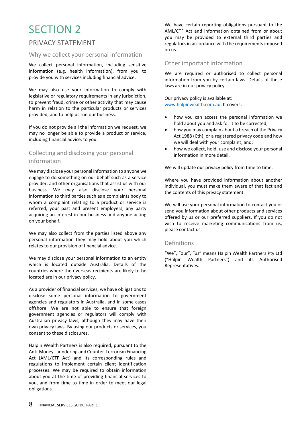# PRIVACY STATEMENT

### Why we collect your personal information

We collect personal information, including sensitive information (e.g. health information), from you to provide you with services including financial advice.

We may also use your information to comply with legislative or regulatory requirements in any jurisdiction, to prevent fraud, crime or other activity that may cause harm in relation to the particular products or services provided, and to help us run our business.

If you do not provide all the information we request, we may no longer be able to provide a product or service, including financial advice, to you.

# Collecting and disclosing your personal information

We may disclose your personal information to anyone we engage to do something on our behalf such as a service provider, and other organisations that assist us with our business. We may also disclose your personal information to third parties such as a complaints body to whom a complaint relating to a product or service is referred, your past and present employers, any party acquiring an interest in our business and anyone acting on your behalf.

We may also collect from the parties listed above any personal information they may hold about you which relates to our provision of financial advice.

We may disclose your personal information to an entity which is located outside Australia. Details of the countries where the overseas recipients are likely to be located are in our privacy policy.

As a provider of financial services, we have obligations to disclose some personal information to government agencies and regulators in Australia, and in some cases offshore. We are not able to ensure that foreign government agencies or regulators will comply with Australian privacy laws, although they may have their own privacy laws. By using our products or services, you consent to these disclosures.

Halpin Wealth Partners is also required, pursuant to the Anti-Money Laundering and Counter-Terrorism Financing Act (AML/CTF Act) and its corresponding rules and regulations to implement certain client identification processes. We may be required to obtain information about you at the time of providing financial services to you, and from time to time in order to meet our legal obligations.

We have certain reporting obligations pursuant to the AML/CTF Act and information obtained from or about you may be provided to external third parties and regulators in accordance with the requirements imposed on us.

### Other important information

We are required or authorised to collect personal information from you by certain laws. Details of these laws are in our privacy policy.

Our privacy policy is available at: [www.halpinwealth.com.au.](http://www.halpinwealth.com.au/) It covers:

- how you can access the personal information we hold about you and ask for it to be corrected;
- how you may complain about a breach of the Privacy Act 1988 (Cth), or a registered privacy code and how we will deal with your complaint; and;
- how we collect, hold, use and disclose your personal information in more detail.

We will update our privacy policy from time to time.

Where you have provided information about another individual, you must make them aware of that fact and the contents of this privacy statement.

We will use your personal information to contact you or send you information about other products and services offered by us or our preferred suppliers. If you do not wish to receive marketing communications from us, please contact us.

### Definitions

"We", "our", "us" means Halpin Wealth Partners Pty Ltd ("Halpin Wealth Partners") and its Authorised Representatives.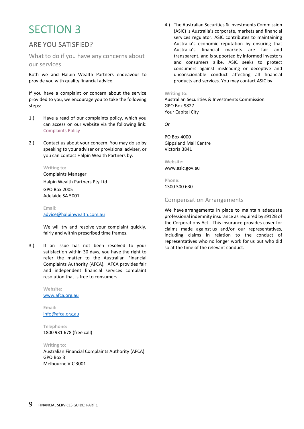# ARE YOU SATISFIED?

What to do if you have any concerns about our services

Both we and Halpin Wealth Partners endeavour to provide you with quality financial advice.

If you have a complaint or concern about the service provided to you, we encourage you to take the following steps:

- 1.) Have a read of our complaints policy, which you can access on our website via the following link: [Complaints Policy](https://halpinwealth.com.au/wp-content/uploads/2021/10/Complaints-Policy-v1.pdf)
- 2.) Contact us about your concern. You may do so by speaking to your adviser or provisional adviser, or you can contact Halpin Wealth Partners by:

#### **Writing to:**

Complaints Manager Halpin Wealth Partners Pty Ltd GPO Box 2005 Adelaide SA 5001

**Email:** [advice@halpinwealth.com.au](mailto:advice@halpinwealth.com.au)

We will try and resolve your complaint quickly, fairly and within prescribed time frames.

3.) If an issue has not been resolved to your satisfaction within 30 days, you have the right to refer the matter to the Australian Financial Complaints Authority (AFCA). AFCA provides fair and independent financial services complaint resolution that is free to consumers.

> **Website:** [www.afca.org.au](http://www.afca.org.au/)

**Email:** [info@afca.org,au](mailto:info@afca.org,au)

**Telephone:** 1800 931 678 (free call)

**Writing to:** Australian Financial Complaints Authority (AFCA) GPO Box 3 Melbourne VIC 3001

4.) The Australian Securities & Investments Commission (ASIC) is Australia's corporate, markets and financial services regulator. ASIC contributes to maintaining Australia's economic reputation by ensuring that Australia's financial markets are fair and transparent, and is supported by informed investors and consumers alike. ASIC seeks to protect consumers against misleading or deceptive and unconscionable conduct affecting all financial products and services. You may contact ASIC by:

#### **Writing to:**

Australian Securities & Investments Commission GPO Box 9827 Your Capital City

Or

PO Box 4000 Gippsland Mail Centre Victoria 3841

**Website:** www.asic.gov.au

**Phone:** 1300 300 630

### Compensation Arrangements

We have arrangements in place to maintain adequate professional indemnity insurance as required by s912B of the Corporations Act. This insurance provides cover for claims made against us and/or our representatives, including claims in relation to the conduct of representatives who no longer work for us but who did so at the time of the relevant conduct.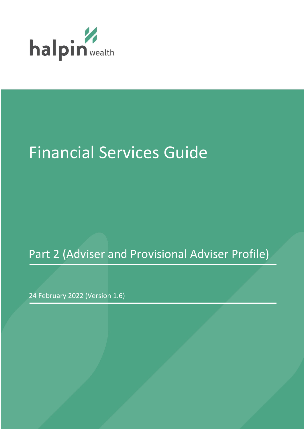

# Financial Services Guide

# Part 2 (Adviser and Provisional Adviser Profile)

24 February 2022 (Version 1.6)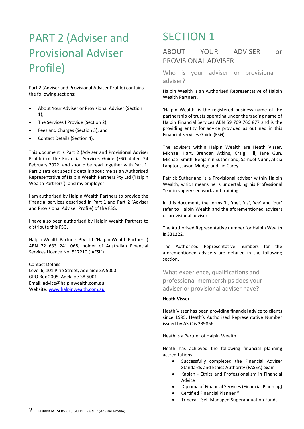# PART 2 (Adviser and Provisional Adviser Profile)

Part 2 (Adviser and Provisional Adviser Profile) contains the following sections:

- About Your Adviser or Provisional Adviser (Section 1);
- The Services I Provide (Section 2);
- Fees and Charges (Section 3); and
- Contact Details (Section 4).

This document is Part 2 (Adviser and Provisional Adviser Profile) of the Financial Services Guide (FSG dated 24 February 2022) and should be read together with Part 1. Part 2 sets out specific details about me as an Authorised Representative of Halpin Wealth Partners Pty Ltd ('Halpin Wealth Partners'), and my employer.

I am authorised by Halpin Wealth Partners to provide the financial services described in Part 1 and Part 2 (Adviser and Provisional Adviser Profile) of the FSG.

I have also been authorised by Halpin Wealth Partners to distribute this FSG.

Halpin Wealth Partners Pty Ltd ('Halpin Wealth Partners') ABN 72 633 241 068, holder of Australian Financial Services Licence No. 517210 ('AFSL')

Contact Details: Level 6, 101 Pirie Street, Adelaide SA 5000 GPO Box 2005, Adelaide SA 5001 Email: advice@halpinwealth.com.au Website: [www.halpinwealth.com.au](http://www.halpinwealth.com.au/)

# SECTION 1

# ABOUT YOUR ADVISER or PROVISIONAL ADVISER

Who is your adviser or provisional adviser?

Halpin Wealth is an Authorised Representative of Halpin Wealth Partners.

'Halpin Wealth' is the registered business name of the partnership of trusts operating under the trading name of Halpin Financial Services ABN 59 709 766 877 and is the providing entity for advice provided as outlined in this Financial Services Guide (FSG).

The advisers within Halpin Wealth are Heath Visser, Michael Hart, Brendan Atkins, Craig Hill, Jane Gun, Michael Smith, Benjamin Sutherland, Samuel Nunn, Alicia Langton, Jason Mudge and Lin Carey.

Patrick Sutherland is a Provisional adviser within Halpin Wealth, which means he is undertaking his Professional Year in supervised work and training.

In this document, the terms 'I', 'me', 'us', 'we' and 'our' refer to Halpin Wealth and the aforementioned advisers or provisional adviser.

The Authorised Representative number for Halpin Wealth is 331222.

The Authorised Representative numbers for the aforementioned advisers are detailed in the following section.

What experience, qualifications and professional memberships does your adviser or provisional adviser have?

### **Heath Visser**

Heath Visser has been providing financial advice to clients since 1995. Heath's Authorised Representative Number issued by ASIC is 239856.

Heath is a Partner of Halpin Wealth.

Heath has achieved the following financial planning accreditations:

- Successfully completed the Financial Adviser Standards and Ethics Authority (FASEA) exam
- Kaplan Ethics and Professionalism in Financial Advice
- Diploma of Financial Services (Financial Planning)
- Certified Financial Planner ®
- Tribeca Self Managed Superannuation Funds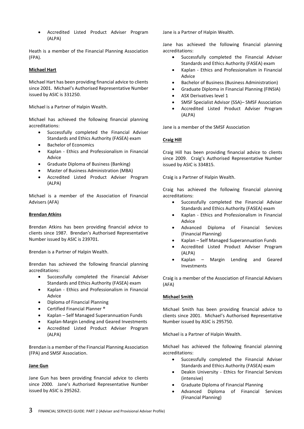• Accredited Listed Product Adviser Program (ALPA)

Heath is a member of the Financial Planning Association (FPA).

### **Michael Hart**

Michael Hart has been providing financial advice to clients since 2001. Michael's Authorised Representative Number issued by ASIC is 331250.

Michael is a Partner of Halpin Wealth.

Michael has achieved the following financial planning accreditations:

- Successfully completed the Financial Adviser Standards and Ethics Authority (FASEA) exam
- Bachelor of Economics
- Kaplan Ethics and Professionalism in Financial Advice
- Graduate Diploma of Business (Banking)
- Master of Business Administration (MBA)
- Accredited Listed Product Adviser Program (ALPA)

Michael is a member of the Association of Financial Advisers (AFA)

#### **Brendan Atkins**

Brendan Atkins has been providing financial advice to clients since 1987. Brendan's Authorised Representative Number issued by ASIC is 239701.

Brendan is a Partner of Halpin Wealth.

Brendan has achieved the following financial planning accreditations:

- Successfully completed the Financial Adviser Standards and Ethics Authority (FASEA) exam
- Kaplan Ethics and Professionalism in Financial Advice
- Diploma of Financial Planning
- Certified Financial Planner ®
- Kaplan Self Managed Superannuation Funds
- Kaplan-Margin Lending and Geared Investments
- Accredited Listed Product Adviser Program (ALPA)

Brendan is a member of the Financial Planning Association (FPA) and SMSF Association.

### **Jane Gun**

Jane Gun has been providing financial advice to clients since 2000. Jane's Authorised Representative Number issued by ASIC is 295262.

Jane is a Partner of Halpin Wealth.

Jane has achieved the following financial planning accreditations:

- Successfully completed the Financial Adviser Standards and Ethics Authority (FASEA) exam
- Kaplan Ethics and Professionalism in Financial Advice
- Bachelor of Business (Business Administration)
- Graduate Diploma in Financial Planning (FINSIA)
- ASX Derivatives level 1
- SMSF Specialist Advisor (SSA)– SMSF Association
- Accredited Listed Product Adviser Program (ALPA)

Jane is a member of the SMSF Association

#### **Craig Hill**

Craig Hill has been providing financial advice to clients since 2009. Craig's Authorised Representative Number issued by ASIC is 334815.

Craig is a Partner of Halpin Wealth.

Craig has achieved the following financial planning accreditations:

- Successfully completed the Financial Adviser Standards and Ethics Authority (FASEA) exam
- Kaplan Ethics and Professionalism in Financial Advice
- Advanced Diploma of Financial Services (Financial Planning)
- Kaplan Self Managed Superannuation Funds
- Accredited Listed Product Adviser Program (ALPA)
- Kaplan Margin Lending and Geared Investments

Craig is a member of the Association of Financial Advisers (AFA)

### **Michael Smith**

Michael Smith has been providing financial advice to clients since 2001. Michael's Authorised Representative Number issued by ASIC is 295750.

Michael is a Partner of Halpin Wealth.

Michael has achieved the following financial planning accreditations:

- Successfully completed the Financial Adviser Standards and Ethics Authority (FASEA) exam
- Deakin University Ethics for Financial Services (intensive)
- Graduate Diploma of Financial Planning
- Advanced Diploma of Financial Services (Financial Planning)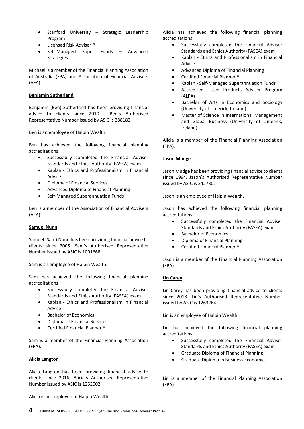- Stanford University Strategic Leadership Program
- Licensed Risk Adviser ®
- Self-Managed Super Funds Advanced Strategies

Michael is a member of the Financial Planning Association of Australia (FPA) and Association of Financial Advisers (AFA)

### **Benjamin Sutherland**

Benjamin (Ben) Sutherland has been providing financial advice to clients since 2010. Ben's Authorised Representative Number issued by ASIC is 388182.

Ben is an employee of Halpin Wealth.

Ben has achieved the following financial planning accreditations:

- Successfully completed the Financial Adviser Standards and Ethics Authority (FASEA) exam
- Kaplan Ethics and Professionalism in Financial Advice
- Diploma of Financial Services
- Advanced Diploma of Financial Planning
- Self-Managed Superannuation Funds

Ben is a member of the Association of Financial Advisers (AFA)

### **Samuel Nunn**

Samuel (Sam) Nunn has been providing financial advice to clients since 2005. Sam's Authorised Representative Number issued by ASIC is 1001668.

Sam is an employee of Halpin Wealth.

Sam has achieved the following financial planning accreditations:

- Successfully completed the Financial Adviser Standards and Ethics Authority (FASEA) exam
- Kaplan Ethics and Professionalism in Financial Advice
- Bachelor of Economics
- Diploma of Financial Services
- Certified Financial Planner ®

Sam is a member of the Financial Planning Association (FPA).

### **Alicia Langton**

Alicia Langton has been providing financial advice to clients since 2016. Alicia's Authorised Representative Number issued by ASIC is 1252002.

Alicia is an employee of Halpin Wealth.

Alicia has achieved the following financial planning accreditations:

- Successfully completed the Financial Adviser Standards and Ethics Authority (FASEA) exam
- Kaplan Ethics and Professionalism in Financial Advice
- Advanced Diploma of Financial Planning
- Certified Financial Planner ®
- Kaplan Self-Managed Superannuation Funds
- Accredited Listed Products Adviser Program (ALPA)
- Bachelor of Arts in Economics and Sociology (University of Limerick, Ireland)
- Master of Science in International Management and Global Business (University of Limerick, Ireland)

Alicia is a member of the Financial Planning Association (FPA).

### **Jason Mudge**

Jason Mudge has been providing financial advice to clients since 1994. Jason's Authorised Representative Number issued by ASIC is 242730.

Jason is an employee of Halpin Wealth.

Jason has achieved the following financial planning accreditations:

- Successfully completed the Financial Adviser Standards and Ethics Authority (FASEA) exam
- Bachelor of Economics
- Diploma of Financial Planning
- Certified Financial Planner ®

Jason is a member of the Financial Planning Association (FPA).

### **Lin Carey**

Lin Carey has been providing financial advice to clients since 2018. Lin's Authorised Representative Number issued by ASIC is 1263264.

Lin is an employee of Halpin Wealth.

Lin has achieved the following financial planning accreditations:

- Successfully completed the Financial Adviser Standards and Ethics Authority (FASEA) exam
- Graduate Diploma of Financial Planning
- Graduate Diploma in Business Economics

Lin is a member of the Financial Planning Association (FPA).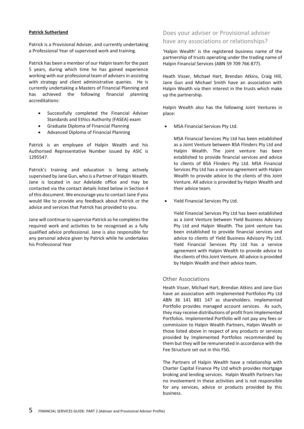### **Patrick Sutherland**

Patrick is a Provisional Adviser, and currently undertaking a Professional Year of supervised work and training.

Patrick has been a member of our Halpin team for the past 5 years, during which time he has gained experience working with our professional team of advisers in assisting with strategy and client administrative queries. He is currently undertaking a Masters of Financial Planning and has achieved the following financial planning accreditations:

- Successfully completed the Financial Adviser Standards and Ethics Authority (FASEA) exam
- Graduate Diploma of Financial Planning
- Advanced Diploma of Financial Planning

Patrick is an employee of Halpin Wealth and his Authorised Representative Number issued by ASIC is 1295547.

Patrick's training and education is being actively supervised by Jane Gun, who is a Partner of Halpin Wealth. Jane is located in our Adelaide office and may be contacted via the contact details listed below in Section 4 of this document. We encourage you to contact Jane if you would like to provide any feedback about Patrick or the advice and services that Patrick has provided to you.

Jane will continue to supervise Patrick as he completes the required work and activities to be recognised as a fully qualified advice professional. Jane is also responsible for any personal advice given by Patrick while he undertakes his Professional Year

# Does your adviser or Provisional adviser have any associations or relationships?

'Halpin Wealth' is the registered business name of the partnership of trusts operating under the trading name of Halpin Financial Services (ABN 59 709 766 877).

Heath Visser, Michael Hart, Brendan Atkins, Craig Hill, Jane Gun and Michael Smith have an association with Halpin Wealth via their interest in the trusts which make up the partnership.

Halpin Wealth also has the following Joint Ventures in place:

• MSA Financial Services Pty Ltd.

MSA Financial Services Pty Ltd has been established as a Joint Venture between BSA Flinders Pty Ltd and Halpin Wealth. The joint venture has been established to provide financial services and advice to clients of BSA Flinders Pty Ltd. MSA Financial Services Pty Ltd has a service agreement with Halpin Wealth to provide advice to the clients of this Joint Venture. All advice is provided by Halpin Wealth and their advice team.

• Yield Financial Services Pty Ltd.

Yield Financial Services Pty Ltd has been established as a Joint Venture between Yield Business Advisory Pty Ltd and Halpin Wealth. The joint venture has been established to provide financial services and advice to clients of Yield Business Advisory Pty Ltd. Yield Financial Services Pty Ltd has a service agreement with Halpin Wealth to provide advice to the clients of this Joint Venture. All advice is provided by Halpin Wealth and their advice team.

### Other Associations

Heath Visser, Michael Hart, Brendan Atkins and Jane Gun have an association with Implemented Portfolios Pty Ltd ABN 36 141 881 147 as shareholders. Implemented Portfolio provides managed account services. As such, they may receive distributions of profit from Implemented Portfolios. Implemented Portfolio will not pay any fees or commission to Halpin Wealth Partners, Halpin Wealth or those listed above in respect of any products or services provided by Implemented Portfolios recommended by them but they will be remunerated in accordance with the Fee Structure set out in this FSG.

The Partners of Halpin Wealth have a relationship with Charter Capital Finance Pty Ltd which provides mortgage broking and lending services. Halpin Wealth Partners has no involvement in these activities and is not responsible for any services, advice or products provided by this business.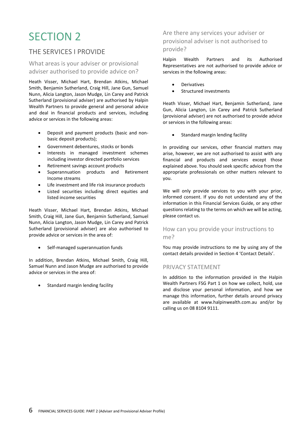# THE SERVICES I PROVIDE

# What areas is your adviser or provisional adviser authorised to provide advice on?

Heath Visser, Michael Hart, Brendan Atkins, Michael Smith, Benjamin Sutherland, Craig Hill, Jane Gun, Samuel Nunn, Alicia Langton, Jason Mudge, Lin Carey and Patrick Sutherland (provisional adviser) are authorised by Halpin Wealth Partners to provide general and personal advice and deal in financial products and services, including advice or services in the following areas:

- Deposit and payment products (basic and nonbasic deposit products);
- Government debentures, stocks or bonds
- Interests in managed investment schemes including investor directed portfolio services
- Retirement savings account products
- Superannuation products and Retirement Income streams
- Life investment and life risk insurance products
- Listed securities including direct equities and listed income securities

Heath Visser, Michael Hart, Brendan Atkins, Michael Smith, Craig Hill, Jane Gun, Benjamin Sutherland, Samuel Nunn, Alicia Langton, Jason Mudge, Lin Carey and Patrick Sutherland (provisional adviser) are also authorised to provide advice or services in the area of:

• Self-managed superannuation funds

In addition, Brendan Atkins, Michael Smith, Craig Hill, Samuel Nunn and Jason Mudge are authorised to provide advice or services in the area of:

• Standard margin lending facility

# Are there any services your adviser or provisional adviser is not authorised to provide?

Halpin Wealth Partners and its Authorised Representatives are not authorised to provide advice or services in the following areas:

- Derivatives
- Structured investments

Heath Visser, Michael Hart, Benjamin Sutherland, Jane Gun, Alicia Langton, Lin Carey and Patrick Sutherland (provisional adviser) are not authorised to provide advice or services in the following areas:

• Standard margin lending facility

In providing our services, other financial matters may arise, however, we are not authorised to assist with any financial and products and services except those explained above. You should seek specific advice from the appropriate professionals on other matters relevant to you.

We will only provide services to you with your prior, informed consent. If you do not understand any of the information in this Financial Services Guide, or any other questions relating to the terms on which we will be acting, please contact us.

# How can you provide your instructions to me?

You may provide instructions to me by using any of the contact details provided in Section 4 'Contact Details'.

### PRIVACY STATEMENT

In addition to the information provided in the Halpin Wealth Partners FSG Part 1 on how we collect, hold, use and disclose your personal information, and how we manage this information, further details around privacy are available at www.halpinwealth.com.au and/or by calling us on 08 8104 9111.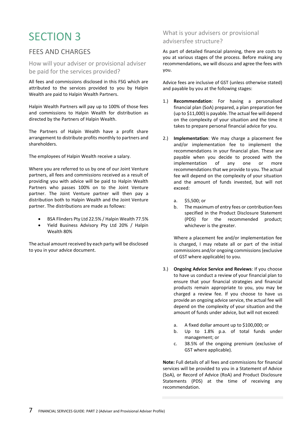# FFFS AND CHARGES

How will your adviser or provisional adviser be paid for the services provided?

All fees and commissions disclosed in this FSG which are attributed to the services provided to you by Halpin Wealth are paid to Halpin Wealth Partners.

Halpin Wealth Partners will pay up to 100% of those fees and commissions to Halpin Wealth for distribution as directed by the Partners of Halpin Wealth.

The Partners of Halpin Wealth have a profit share arrangement to distribute profits monthly to partners and shareholders.

The employees of Halpin Wealth receive a salary.

Where you are referred to us by one of our Joint Venture partners, all fees and commissions received as a result of providing you with advice will be paid to Halpin Wealth Partners who passes 100% on to the Joint Venture partner. The Joint Venture partner will then pay a distribution both to Halpin Wealth and the Joint Venture partner. The distributions are made as follows:

- BSA Flinders Pty Ltd 22.5% / Halpin Wealth 77.5%
- Yield Business Advisory Pty Ltd 20% / Halpin Wealth 80%

The actual amount received by each party will be disclosed to you in your advice document.

# What is your advisers or provisional advisersfee structure?

As part of detailed financial planning, there are costs to you at various stages of the process. Before making any recommendations, we will discuss and agree the fees with you.

Advice fees are inclusive of GST (unless otherwise stated) and payable by you at the following stages:

- 1.) **Recommendation**: For having a personalised financial plan (SoA) prepared, a plan preparation fee (up to \$11,000) is payable. The actual fee will depend on the complexity of your situation and the time it takes to prepare personal financial advice for you.
- 2.) **Implementation**: We may charge a placement fee and/or implementation fee to implement the recommendations in your financial plan. These are payable when you decide to proceed with the implementation of any one or more recommendations that we provide to you. The actual fee will depend on the complexity of your situation and the amount of funds invested, but will not exceed:
	- a. \$5,500; or
	- b. The maximum of entry fees or contribution fees specified in the Product Disclosure Statement (PDS) for the recommended product; whichever is the greater.

Where a placement fee and/or implementation fee is charged, I may rebate all or part of the initial commissions and/or ongoing commissions (exclusive of GST where applicable) to you.

- 3.) **Ongoing Advice Service and Reviews**: If you choose to have us conduct a review of your financial plan to ensure that your financial strategies and financial products remain appropriate to you, you may be charged a review fee. If you choose to have us provide an ongoing advice service, the actual fee will depend on the complexity of your situation and the amount of funds under advice, but will not exceed:
	- a. A fixed dollar amount up to \$100,000; or
	- b. Up to 1.8% p.a. of total funds under management; or
	- c. 38.5% of the ongoing premium (exclusive of GST where applicable).

**Note:** Full details of all fees and commissions for financial services will be provided to you in a Statement of Advice (SoA), or Record of Advice (RoA) and Product Disclosure Statements (PDS) at the time of receiving any recommendation.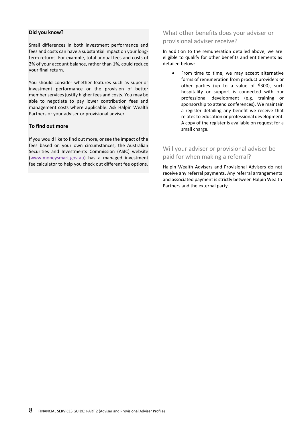### **Did you know?**

Small differences in both investment performance and fees and costs can have a substantial impact on your longterm returns. For example, total annual fees and costs of 2% of your account balance, rather than 1%, could reduce your final return.

You should consider whether features such as superior investment performance or the provision of better member services justify higher fees and costs. You may be able to negotiate to pay lower contribution fees and management costs where applicable. Ask Halpin Wealth Partners or your adviser or provisional adviser.

### **To find out more**

If you would like to find out more, or see the impact of the fees based on your own circumstances, the Australian Securities and Investments Commission (ASIC) website (www.moneysmart.gov.au) has a managed investment fee calculator to help you check out different fee options.

# What other benefits does your adviser or provisional adviser receive?

In addition to the remuneration detailed above, we are eligible to qualify for other benefits and entitlements as detailed below:

• From time to time, we may accept alternative forms of remuneration from product providers or other parties (up to a value of \$300), such hospitality or support is connected with our professional development (e.g. training or sponsorship to attend conferences). We maintain a register detailing any benefit we receive that relates to education or professional development. A copy of the register is available on request for a small charge.

# Will your adviser or provisional adviser be paid for when making a referral?

Halpin Wealth Advisers and Provisional Advisers do not receive any referral payments. Any referral arrangements and associated payment is strictly between Halpin Wealth Partners and the external party.